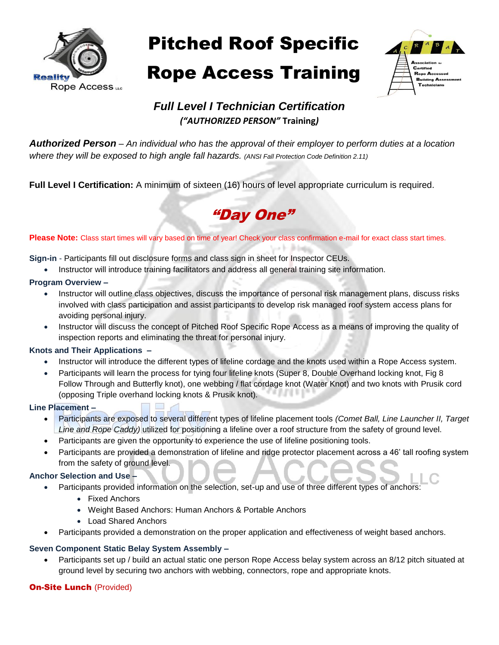

Pitched Roof Specific

# Rope Access Training Rope Access Training



## *Full Level I Technician Certification ("AUTHORIZED PERSON"* **Training***)*

*Authorized Person – An individual who has the approval of their employer to perform duties at a location where they will be exposed to high angle fall hazards. (ANSI Fall Protection Code Definition 2.11)*

**Full Level I Certification:** A minimum of sixteen (16) hours of level appropriate curriculum is required.



 $\mu$  +  $\mu$  being

Please Note: Class start times will vary based on time of year! Check your class confirmation e-mail for exact class start times.

**Sign-in** - Participants fill out disclosure forms and class sign in sheet for Inspector CEUs.

Instructor will introduce training facilitators and address all general training site information.

#### **Program Overview –**

- Instructor will outline class objectives, discuss the importance of personal risk management plans, discuss risks involved with class participation and assist participants to develop risk managed roof system access plans for avoiding personal injury.
- Instructor will discuss the concept of Pitched Roof Specific Rope Access as a means of improving the quality of inspection reports and eliminating the threat for personal injury.

#### **Knots and Their Applications –**

- Instructor will introduce the different types of lifeline cordage and the knots used within a Rope Access system.
- Participants will learn the process for tying four lifeline knots (Super 8, Double Overhand locking knot, Fig 8 Follow Through and Butterfly knot), one webbing / flat cordage knot (Water Knot) and two knots with Prusik cord (opposing Triple overhand locking knots & Prusik knot).

#### **Line Placement –**

- Participants are exposed to several different types of lifeline placement tools *(Comet Ball, Line Launcher II, Target Line and Rope Caddy)* utilized for positioning a lifeline over a roof structure from the safety of ground level.
- Participants are given the opportunity to experience the use of lifeline positioning tools.
- Participants are provided a demonstration of lifeline and ridge protector placement across a 46' tall roofing system from the safety of ground level.

#### **Anchor Selection and Use –**

- Participants provided information on the selection, set-up and use of three different types of anchors:
	- Fixed Anchors
	- Weight Based Anchors: Human Anchors & Portable Anchors
	- Load Shared Anchors
- Participants provided a demonstration on the proper application and effectiveness of weight based anchors.

#### **Seven Component Static Belay System Assembly –**

 Participants set up / build an actual static one person Rope Access belay system across an 8/12 pitch situated at ground level by securing two anchors with webbing, connectors, rope and appropriate knots.

#### **On-Site Lunch (Provided)**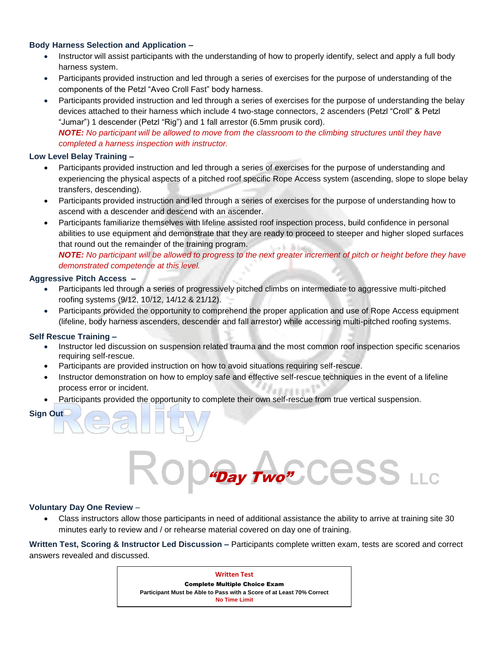#### **Body Harness Selection and Application –**

- Instructor will assist participants with the understanding of how to properly identify, select and apply a full body harness system.
- Participants provided instruction and led through a series of exercises for the purpose of understanding of the components of the Petzl "Aveo Croll Fast" body harness.
- Participants provided instruction and led through a series of exercises for the purpose of understanding the belay devices attached to their harness which include 4 two-stage connectors, 2 ascenders (Petzl "Croll" & Petzl "Jumar") 1 descender (Petzl "Rig") and 1 fall arrestor (6.5mm prusik cord). *NOTE: No participant will be allowed to move from the classroom to the climbing structures until they have*

*completed a harness inspection with instructor.*

#### **Low Level Belay Training –**

- Participants provided instruction and led through a series of exercises for the purpose of understanding and experiencing the physical aspects of a pitched roof specific Rope Access system (ascending, slope to slope belay transfers, descending).
- Participants provided instruction and led through a series of exercises for the purpose of understanding how to ascend with a descender and descend with an ascender.
- Participants familiarize themselves with lifeline assisted roof inspection process, build confidence in personal abilities to use equipment and demonstrate that they are ready to proceed to steeper and higher sloped surfaces that round out the remainder of the training program.  $-1 - 3 + 1$

*NOTE: No participant will be allowed to progress to the next greater increment of pitch or height before they have demonstrated competence at this level.* 

#### **Aggressive Pitch Access –**

- Participants led through a series of progressively pitched climbs on intermediate to aggressive multi-pitched roofing systems (9/12, 10/12, 14/12 & 21/12).
- Participants provided the opportunity to comprehend the proper application and use of Rope Access equipment (lifeline, body harness ascenders, descender and fall arrestor) while accessing multi-pitched roofing systems.

#### **Self Rescue Training –**

- Instructor led discussion on suspension related trauma and the most common roof inspection specific scenarios requiring self-rescue.
- Participants are provided instruction on how to avoid situations requiring self-rescue.
- Instructor demonstration on how to employ safe and effective self-rescue techniques in the event of a lifeline process error or incident. fe sunt a se Vi
- Participants provided the opportunity to complete their own self-rescue from true vertical suspension.

**Sign Out**

# **Day Two"** CCSS LLC

#### **Voluntary Day One Review** –

 Class instructors allow those participants in need of additional assistance the ability to arrive at training site 30 minutes early to review and / or rehearse material covered on day one of training.

**Written Test, Scoring & Instructor Led Discussion –** Participants complete written exam, tests are scored and correct answers revealed and discussed.

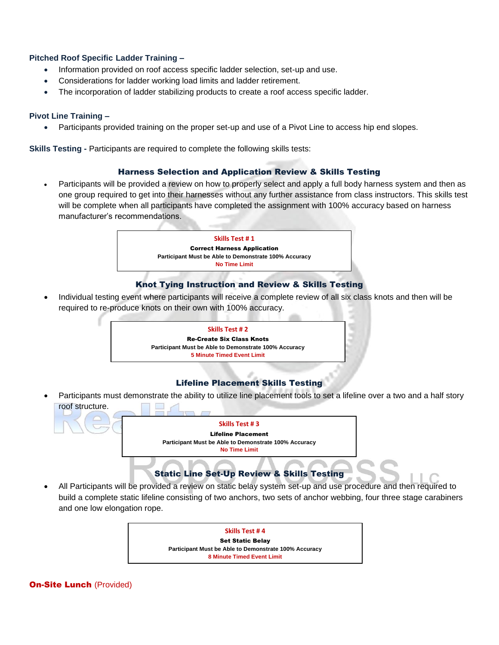#### **Pitched Roof Specific Ladder Training –**

- Information provided on roof access specific ladder selection, set-up and use.
- Considerations for ladder working load limits and ladder retirement.
- The incorporation of ladder stabilizing products to create a roof access specific ladder.

#### **Pivot Line Training –**

Participants provided training on the proper set-up and use of a Pivot Line to access hip end slopes.

**Skills Testing -** Participants are required to complete the following skills tests:

#### Harness Selection and Application Review & Skills Testing

 Participants will be provided a review on how to properly select and apply a full body harness system and then as one group required to get into their harnesses without any further assistance from class instructors. This skills test will be complete when all participants have completed the assignment with 100% accuracy based on harness manufacturer's recommendations.



#### Knot Tying Instruction and Review & Skills Testing

 Individual testing event where participants will receive a complete review of all six class knots and then will be required to re-produce knots on their own with 100% accuracy.



#### Lifeline Placement Skills Testing

 Participants must demonstrate the ability to utilize line placement tools to set a lifeline over a two and a half story roof structure.



 All Participants will be provided a review on static belay system set-up and use procedure and then required to build a complete static lifeline consisting of two anchors, two sets of anchor webbing, four three stage carabiners and one low elongation rope.



**On-Site Lunch (Provided)**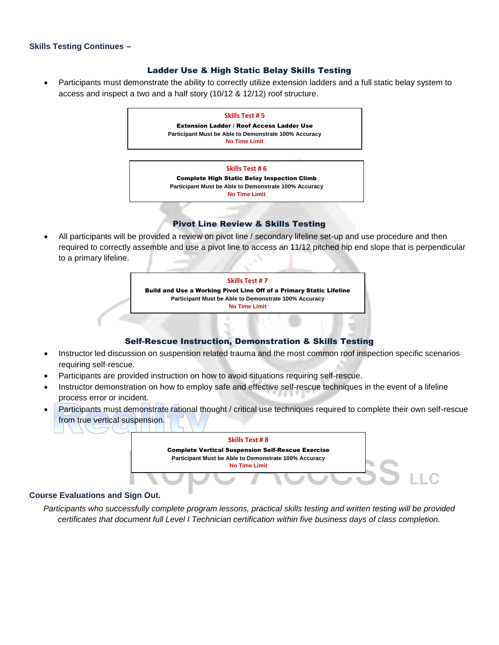#### **Skills Testing Continues** –

#### Ladder Use & High Static Belay Skills Testing

 Participants must demonstrate the ability to correctly utilize extension ladders and a full static belay system to access and inspect a two and a half story (10/12 & 12/12) roof structure.



#### Pivot Line Review & Skills Testing

 All participants will be provided a review on pivot line / secondary lifeline set-up and use procedure and then required to correctly assemble and use a pivot line to access an 11/12 pitched hip end slope that is perpendicular to a primary lifeline.



#### Self-Rescue Instruction, Demonstration & Skills Testing

- Instructor led discussion on suspension related trauma and the most common roof inspection specific scenarios requiring self-rescue.
- Participants are provided instruction on how to avoid situations requiring self-rescue.
- Instructor demonstration on how to employ safe and effective self-rescue techniques in the event of a lifeline process error or incident.
- Participants must demonstrate rational thought / critical use techniques required to complete their own self-rescue from true vertical suspension.



#### **Course Evaluations and Sign Out.**

*Participants who successfully complete program lessons, practical skills testing and written testing will be provided certificates that document full Level I Technician certification within five business days of class completion.*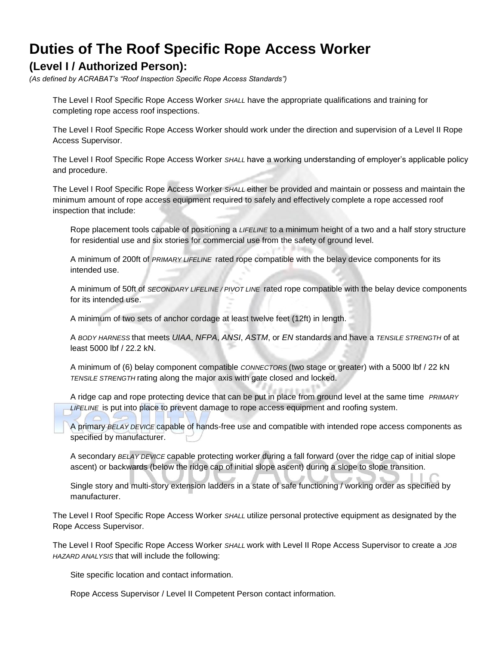# **Duties of The Roof Specific Rope Access Worker**

## **(Level I / Authorized Person):**

*(As defined by ACRABAT's "Roof Inspection Specific Rope Access Standards")*

The Level I Roof Specific Rope Access Worker *SHALL* have the appropriate qualifications and training for completing rope access roof inspections.

The Level I Roof Specific Rope Access Worker should work under the direction and supervision of a Level II Rope Access Supervisor.

The Level I Roof Specific Rope Access Worker *SHALL* have a working understanding of employer's applicable policy and procedure.

The Level I Roof Specific Rope Access Worker *SHALL* either be provided and maintain or possess and maintain the minimum amount of rope access equipment required to safely and effectively complete a rope accessed roof inspection that include:

Rope placement tools capable of positioning a *LIFELINE* to a minimum height of a two and a half story structure for residential use and six stories for commercial use from the safety of ground level.

A minimum of 200ft of *PRIMARY LIFELINE* rated rope compatible with the belay device components for its intended use.

A minimum of 50ft of *SECONDARY LIFELINE / PIVOT LINE* rated rope compatible with the belay device components for its intended use.

A minimum of two sets of anchor cordage at least twelve feet (12ft) in length.

A *BODY HARNESS* that meets *UIAA*, *NFPA*, *ANSI*, *ASTM*, or *EN* standards and have a *TENSILE STRENGTH* of at least 5000 lbf / 22.2 kN.

A minimum of (6) belay component compatible *CONNECTORS* (two stage or greater) with a 5000 lbf / 22 kN *TENSILE STRENGTH* rating along the major axis with gate closed and locked.

A ridge cap and rope protecting device that can be put in place from ground level at the same time *PRIMARY LIFELINE* is put into place to prevent damage to rope access equipment and roofing system.

A primary *BELAY DEVICE* capable of hands-free use and compatible with intended rope access components as specified by manufacturer.

A secondary *BELAY DEVICE* capable protecting worker during a fall forward (over the ridge cap of initial slope ascent) or backwards (below the ridge cap of initial slope ascent) during a slope to slope transition.

Single story and multi-story extension ladders in a state of safe functioning / working order as specified by manufacturer.

The Level I Roof Specific Rope Access Worker *SHALL* utilize personal protective equipment as designated by the Rope Access Supervisor.

The Level I Roof Specific Rope Access Worker *SHALL* work with Level II Rope Access Supervisor to create a *JOB HAZARD ANALYSIS* that will include the following:

Site specific location and contact information.

Rope Access Supervisor / Level II Competent Person contact information.